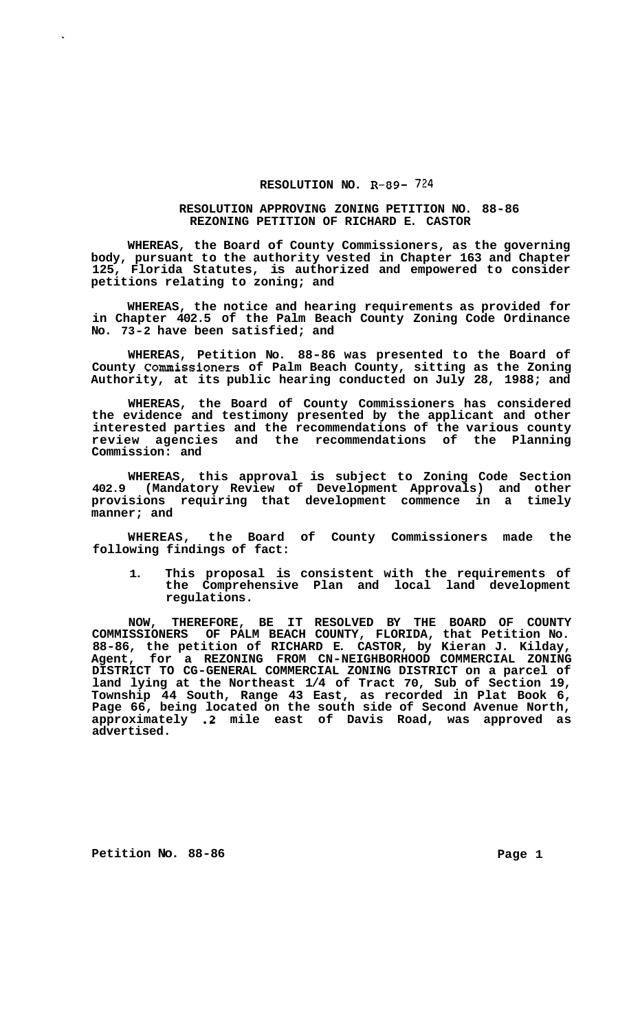## **RESOLUTION NO. R-89-** 724

## **RESOLUTION APPROVING ZONING PETITION NO. 88-86 REZONING PETITION OF RICHARD E. CASTOR**

**WHEREAS, the Board of County Commissioners, as the governing body, pursuant to the authority vested in Chapter 163 and Chapter 125, Florida Statutes, is authorized and empowered to consider petitions relating to zoning; and** 

**WHEREAS, the notice and hearing requirements as provided for in Chapter 402.5 of the Palm Beach County Zoning Code Ordinance No. 73-2 have been satisfied; and** 

**WHEREAS, Petition No. 88-86 was presented to the Board of County Commissioners of Palm Beach County, sitting as the Zoning Authority, at its public hearing conducted on July 28, 1988; and** 

**WHEREAS, the Board of County Commissioners has considered the evidence and testimony presented by the applicant and other interested parties and the recommendations of the various county review agencies and the recommendations of the Planning Commission: and** 

**WHEREAS, this approval is subject to Zoning Code Section 402.9 (Mandatory Review of Development Approvals) and other provisions requiring that development commence in a timely manner; and** 

**WHEREAS, the Board of County Commissioners made the following findings of fact:** 

**1. This proposal is consistent with the requirements of the Comprehensive Plan and local land development regulations.** 

**NOW, THEREFORE, BE IT RESOLVED BY THE BOARD OF COUNTY COMMISSIONERS OF PALM BEACH COUNTY, FLORIDA, that Petition No. 88-86, the petition of RICHARD E. CASTOR, by Kieran J. Kilday, Agent, for a REZONING FROM CN-NEIGHBORHOOD COMMERCIAL ZONING DISTRICT TO CG-GENERAL COMMERCIAL ZONING DISTRICT on a parcel of land lying at the Northeast 1/4 of Tract 70, Sub of Section 19, Township 44 South, Range 43 East, as recorded in Plat Book 6, Page 66, being located on the south side of Second Avenue North, approximately .2 mile east of Davis Road, was approved as advertised.** 

**Petition No.** 88-86 **Page 1 Page 1** 

۰.,